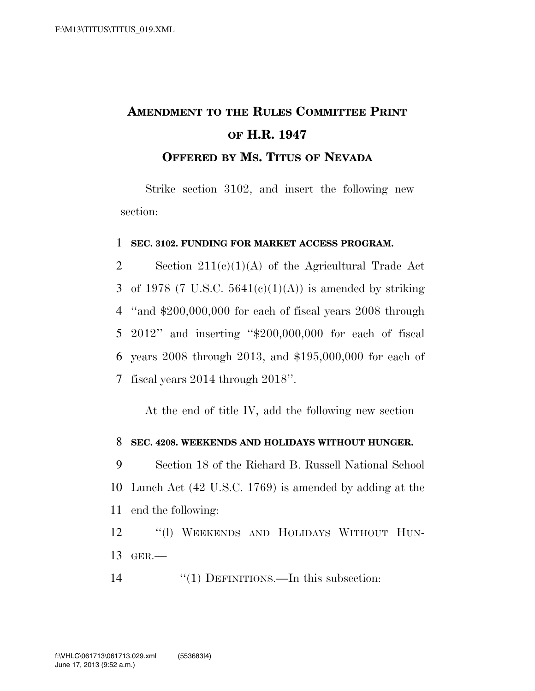## **AMENDMENT TO THE RULES COMMITTEE PRINT OF H.R. 1947**

**OFFERED BY MS. TITUS OF NEVADA**

Strike section 3102, and insert the following new section:

## 1 **SEC. 3102. FUNDING FOR MARKET ACCESS PROGRAM.**

2 Section  $211(e)(1)(A)$  of the Agricultural Trade Act 3 of 1978 (7 U.S.C.  $5641(e)(1)(A)$ ) is amended by striking ''and \$200,000,000 for each of fiscal years 2008 through 2012'' and inserting ''\$200,000,000 for each of fiscal years 2008 through 2013, and \$195,000,000 for each of fiscal years 2014 through 2018''.

At the end of title IV, add the following new section

## 8 **SEC. 4208. WEEKENDS AND HOLIDAYS WITHOUT HUNGER.**

9 Section 18 of the Richard B. Russell National School 10 Lunch Act (42 U.S.C. 1769) is amended by adding at the 11 end the following:

12 ''(l) WEEKENDS AND HOLIDAYS WITHOUT HUN-13 GER.—

14 ''(1) DEFINITIONS.—In this subsection: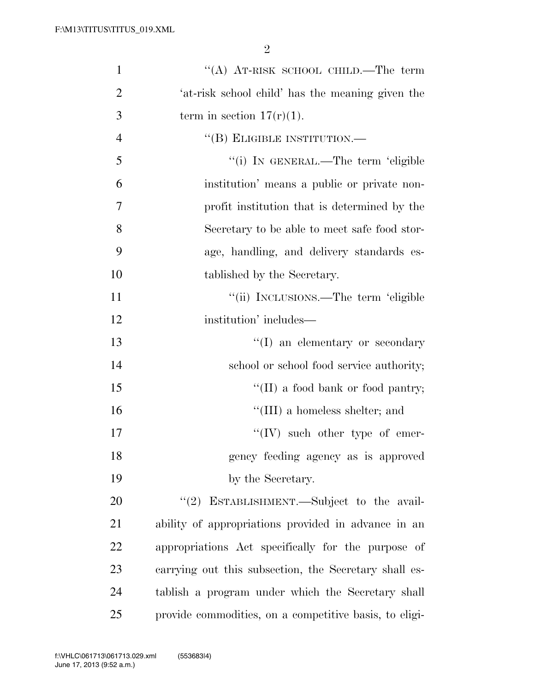| $\mathbf{1}$   | "(A) AT-RISK SCHOOL CHILD.—The term                    |
|----------------|--------------------------------------------------------|
| $\overline{2}$ | 'at-risk school child' has the meaning given the       |
| 3              | term in section $17(r)(1)$ .                           |
| $\overline{4}$ | "(B) ELIGIBLE INSTITUTION.—                            |
| 5              | "(i) IN GENERAL.—The term 'eligible                    |
| 6              | institution' means a public or private non-            |
| 7              | profit institution that is determined by the           |
| 8              | Secretary to be able to meet safe food stor-           |
| 9              | age, handling, and delivery standards es-              |
| 10             | tablished by the Secretary.                            |
| 11             | "(ii) INCLUSIONS.—The term 'eligible                   |
| 12             | institution' includes—                                 |
| 13             | "(I) an elementary or secondary                        |
| 14             | school or school food service authority;               |
| 15             | "(II) a food bank or food pantry;                      |
| 16             | $\lq\lq$ (III) a homeless shelter; and                 |
| 17             | $\lq\lq (IV)$ such other type of emer-                 |
| 18             | gency feeding agency as is approved                    |
| 19             | by the Secretary.                                      |
| 20             | "(2) ESTABLISHMENT.—Subject to the avail-              |
| 21             | ability of appropriations provided in advance in an    |
| 22             | appropriations Act specifically for the purpose of     |
| 23             | carrying out this subsection, the Secretary shall es-  |
| 24             | tablish a program under which the Secretary shall      |
| 25             | provide commodities, on a competitive basis, to eligi- |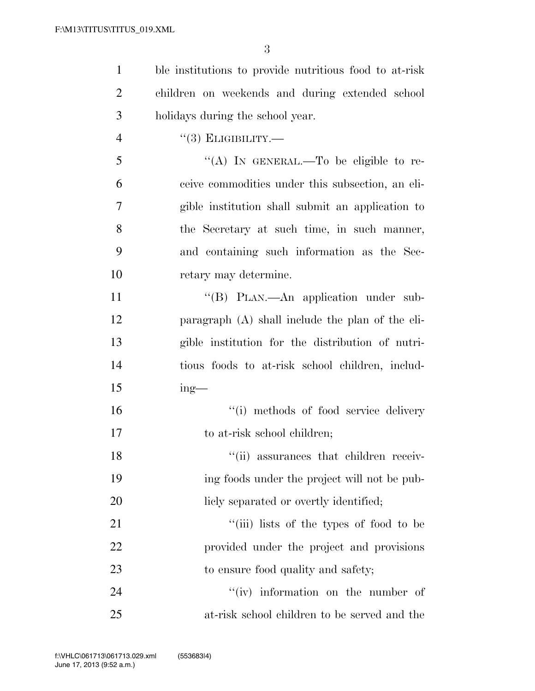| $\mathbf{1}$   | ble institutions to provide nutritious food to at-risk |
|----------------|--------------------------------------------------------|
| $\overline{2}$ | children on weekends and during extended school        |
| 3              | holidays during the school year.                       |
| $\overline{4}$ | $``(3)$ ELIGIBILITY.—                                  |
| 5              | "(A) IN GENERAL.—To be eligible to re-                 |
| 6              | ceive commodities under this subsection, an eli-       |
| 7              | gible institution shall submit an application to       |
| 8              | the Secretary at such time, in such manner,            |
| 9              | and containing such information as the Sec-            |
| 10             | retary may determine.                                  |
| 11             | "(B) PLAN.—An application under sub-                   |
| 12             | paragraph (A) shall include the plan of the eli-       |
| 13             | gible institution for the distribution of nutri-       |
| 14             | tious foods to at-risk school children, includ-        |
| 15             | $ing$ —                                                |
| 16             | "(i) methods of food service delivery                  |
| 17             | to at-risk school children;                            |
| 18             | "(ii) assurances that children receiv-                 |
| 19             | ing foods under the project will not be pub-           |
| 20             | licly separated or overtly identified;                 |
| 21             | "(iii) lists of the types of food to be                |
| 22             | provided under the project and provisions              |
| 23             | to ensure food quality and safety;                     |
| 24             | "(iv) information on the number of                     |
| 25             | at-risk school children to be served and the           |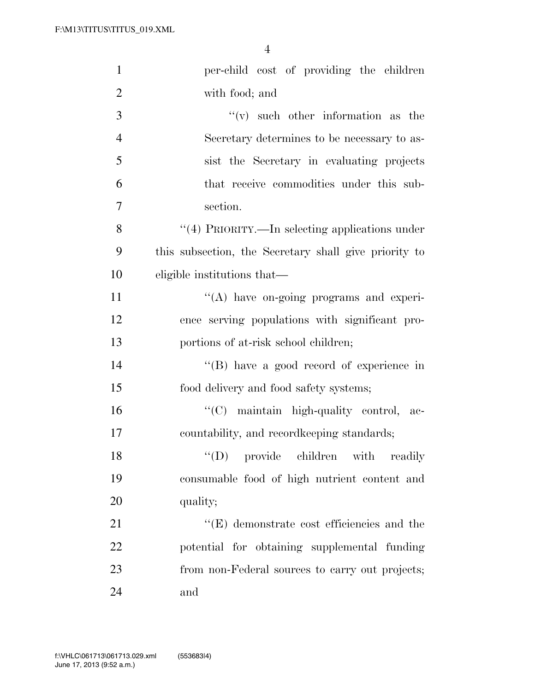| $\mathbf{1}$   | per-child cost of providing the children              |
|----------------|-------------------------------------------------------|
| $\overline{2}$ | with food; and                                        |
| 3              | $f'(v)$ such other information as the                 |
| $\overline{4}$ | Secretary determines to be necessary to as-           |
| 5              | sist the Secretary in evaluating projects             |
| 6              | that receive commodities under this sub-              |
| 7              | section.                                              |
| 8              | "(4) PRIORITY.—In selecting applications under        |
| 9              | this subsection, the Secretary shall give priority to |
| 10             | eligible institutions that—                           |
| 11             | $\lq\lq$ have on-going programs and experi-           |
| 12             | ence serving populations with significant pro-        |
| 13             | portions of at-risk school children;                  |
| 14             | $\lq\lq (B)$ have a good record of experience in      |
| 15             | food delivery and food safety systems;                |
| 16             | "(C) maintain high-quality control, ac-               |
| 17             | countability, and record keeping standards;           |
| 18             | $\lq\lq$ (D) provide children with<br>readily         |
| 19             | consumable food of high nutrient content and          |
| 20             | quality;                                              |
| 21             | $\lq\lq(E)$ demonstrate cost efficiencies and the     |
| 22             | potential for obtaining supplemental funding          |
| 23             | from non-Federal sources to carry out projects;       |
| 24             | and                                                   |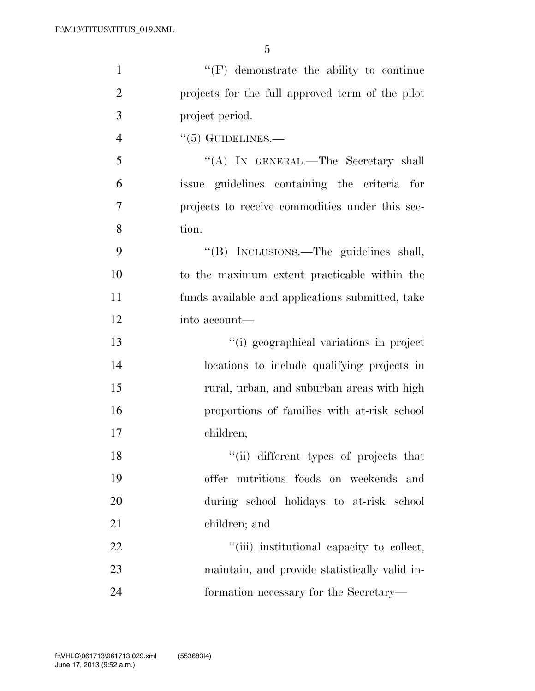| $\mathbf{1}$   | $\lq\lq(F)$ demonstrate the ability to continue  |
|----------------|--------------------------------------------------|
| $\overline{2}$ | projects for the full approved term of the pilot |
| 3              | project period.                                  |
| $\overline{4}$ | $\cdot\cdot$ (5) GUIDELINES.—                    |
| 5              | "(A) IN GENERAL.—The Secretary shall             |
| 6              | issue guidelines containing the criteria for     |
| 7              | projects to receive commodities under this sec-  |
| 8              | tion.                                            |
| 9              | "(B) INCLUSIONS.—The guidelines shall,           |
| 10             | to the maximum extent practicable within the     |
| 11             | funds available and applications submitted, take |
| 12             | into account—                                    |
| 13             | "(i) geographical variations in project          |
| 14             | locations to include qualifying projects in      |
| 15             | rural, urban, and suburban areas with high       |
| 16             | proportions of families with at-risk school      |
| 17             | children;                                        |
| 18             | "(ii) different types of projects that           |
| 19             | offer nutritious foods on weekends and           |
| 20             | during school holidays to at-risk school         |
| 21             | children; and                                    |
| 22             | "(iii) institutional capacity to collect,        |
| 23             | maintain, and provide statistically valid in-    |
| 24             | formation necessary for the Secretary—           |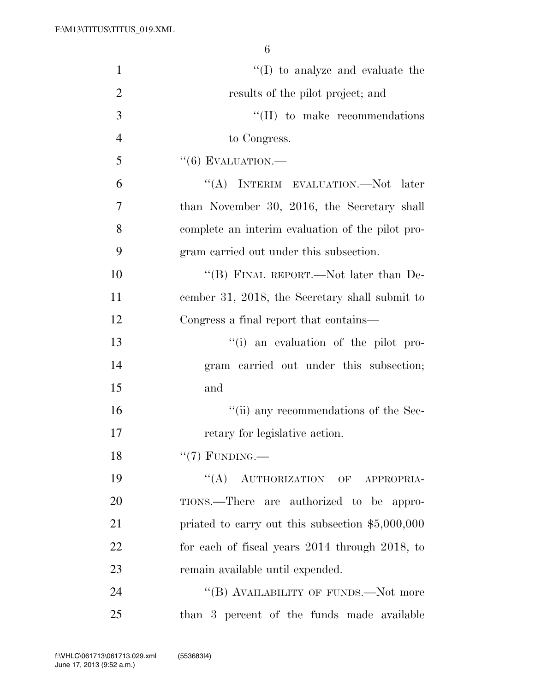| $\mathbf{1}$   | $\lq\lq$ (I) to analyze and evaluate the          |
|----------------|---------------------------------------------------|
| $\overline{2}$ | results of the pilot project; and                 |
| 3              | $\lq\lq$ (II) to make recommendations             |
| $\overline{4}$ | to Congress.                                      |
| 5              | $``(6)$ EVALUATION.—                              |
| 6              | "(A) INTERIM EVALUATION.—Not later                |
| 7              | than November 30, 2016, the Secretary shall       |
| 8              | complete an interim evaluation of the pilot pro-  |
| 9              | gram carried out under this subsection.           |
| 10             | "(B) FINAL REPORT.—Not later than De-             |
| 11             | cember 31, 2018, the Secretary shall submit to    |
| 12             | Congress a final report that contains—            |
| 13             | "(i) an evaluation of the pilot pro-              |
| 14             | gram carried out under this subsection;           |
| 15             | and                                               |
| 16             | "(ii) any recommendations of the Sec-             |
| 17             | retary for legislative action.                    |
| 18             | $``(7)$ FUNDING.—                                 |
| 19             | "(A) AUTHORIZATION OF APPROPRIA-                  |
| 20             | TIONS.—There are authorized to be appro-          |
| 21             | priated to carry out this subsection $$5,000,000$ |
| 22             | for each of fiscal years 2014 through 2018, to    |
| 23             | remain available until expended.                  |
| 24             | "(B) AVAILABILITY OF FUNDS.—Not more              |
| 25             | than 3 percent of the funds made available        |